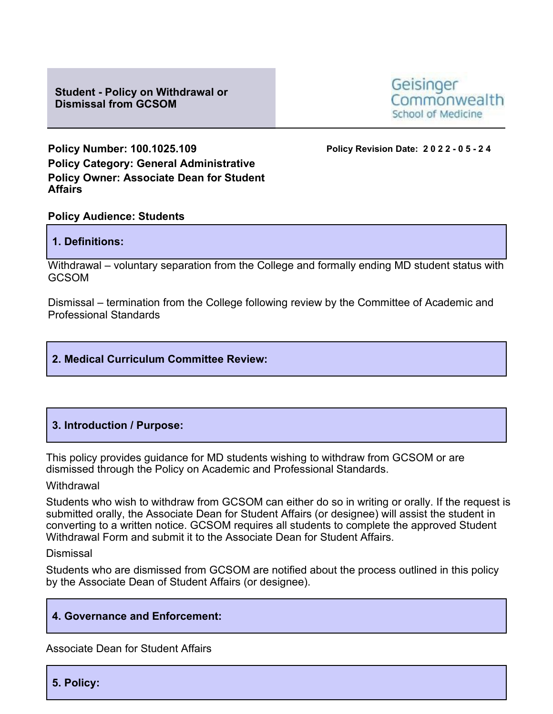**Student - Policy on Withdrawal or Dismissal from GCSOM**



**Policy Number: 100.1025.109 Policy Revision Date: 2022 - 0 5 - 2 4 Policy Category: General Administrative Policy Owner: Associate Dean for Student Affairs**

# **Policy Audience: Students**

## **1. Definitions:**

Withdrawal – voluntary separation from the College and formally ending MD student status with **GCSOM** 

Dismissal – termination from the College following review by the Committee of Academic and Professional Standards

# **2. Medical Curriculum Committee Review:**

# **3. Introduction / Purpose:**

This policy provides guidance for MD students wishing to withdraw from GCSOM or are dismissed through the Policy on Academic and Professional Standards.

#### **Withdrawal**

Students who wish to withdraw from GCSOM can either do so in writing or orally. If the request is submitted orally, the Associate Dean for Student Affairs (or designee) will assist the student in converting to a written notice. GCSOM requires all students to complete the approved Student Withdrawal Form and submit it to the Associate Dean for Student Affairs.

#### Dismissal

Students who are dismissed from GCSOM are notified about the process outlined in this policy by the Associate Dean of Student Affairs (or designee).

# **4. Governance and Enforcement:**

Associate Dean for Student Affairs

**5. Policy:**